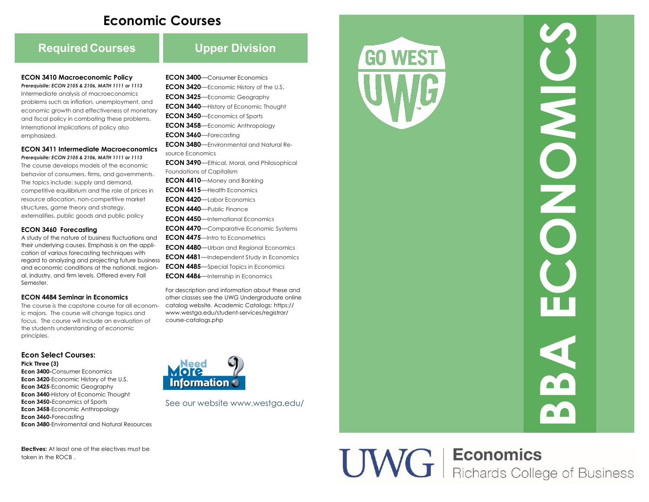# **Economic Courses**

# **Required Courses Upper Division**

#### **ECON 3410 Macroeconomic Policy**

*Prerequisite: ECON 2105 & 2106, MATH 1111 or 1113* Intermediate analysis of macroeconomics problems such as inflation, unemployment, and economic growth and effectiveness of monetary and fiscal policy in combating these problems. International implications of policy also emphasized.

#### **ECON 3411 Intermediate Macroeconomics**

*Prerequisite: ECON 2105 & 2106, MATH 1111 or 1113* The course develops models of the economic behavior of consumers, firms, and governments. The topics include: supply and demand, competitive equilibrium and the role of prices in resource allocation, non -competitive market structures, game theory and strategy, externalities, public goods and public policy

#### **ECON 3460 Forecasting**

A study of the nature of business fluctuations and their underlying causes. Emphasis is on the application of various forecasting techniques with regard to analyzing and projecting future business and economic conditions at the national, regional, industry, and firm levels. Offered every Fall Semester.

#### **ECON 4484 Seminar in Economics**

The course is the capstone course for all economic majors. The course will change topics and focus. The course will include an evaluation of the students understanding of economic principles.

### **Econ Select Courses:**

**Pick Three (3)**

**Econ 3400 -**Consumer Economics **Econ 3420** -Economic History of the U.S. **Econ 3425**-Economic Geography **Econ 3440-History of Economic Thought Econ 3450 -**Economics of Sports **Econ 3458** -Economic Anthropology **Econ 3460 -**Forecasting **Econ 3480** -Enviromental and Natural Resources

**Electives:** At least one of the electives must be taken in the  $ROCR$ 

- **ECON 3400** —Consumer Economics **ECON 3420**—Economic History of the U.S.
- **ECON 3425** —Economic Geography
- **ECON 3440**—History of Economic Thought
- **ECON 3450** —Economics of Sports
- **ECON 3458** —Economic Anthropology
- **ECON 3460** —Forecasting
- **ECON 3480** —Environmental and Natural Resource Economics
- **ECON 3490** —Ethical, Moral, and Philosophical Foundations of Capitalism
- **ECON 4410**—Money and Banking
- **ECON 4415** Health Economics
- **ECON 4420** —Labor Economics
- **ECON 4440** —Public Finance
- **ECON 4450** —International Economics
- **ECON 4470**—Comparative Economic Systems **ECON 4475** —Intro to Econometrics
- **ECON 4480** —Urban and Regional Economics **ECON 4481** - Independent Study in Economics **ECON 4485** - Special Topics in Economics
- **ECON 4486** Internship in Economics

For description and information about these and other classes see the UWG Undergraduate online catalog website. Academic Catalogs: https:// www.westga.edu/student -services/registrar/ course -catalogs.php



See our website www.westga.edu/



# **UWG** | Economics<br>
Richards College of Business